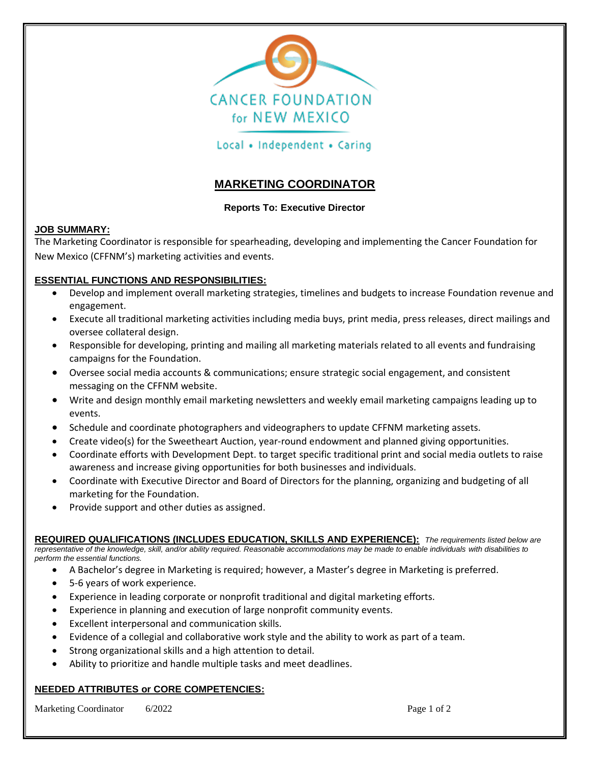

# Local • Independent • Caring

# **MARKETING COORDINATOR**

#### **Reports To: Executive Director**

### **JOB SUMMARY:**

The Marketing Coordinator is responsible for spearheading, developing and implementing the Cancer Foundation for New Mexico (CFFNM's) marketing activities and events.

### **ESSENTIAL FUNCTIONS AND RESPONSIBILITIES:**

- Develop and implement overall marketing strategies, timelines and budgets to increase Foundation revenue and engagement.
- Execute all traditional marketing activities including media buys, print media, press releases, direct mailings and oversee collateral design.
- Responsible for developing, printing and mailing all marketing materials related to all events and fundraising campaigns for the Foundation.
- Oversee social media accounts & communications; ensure strategic social engagement, and consistent messaging on the CFFNM website.
- Write and design monthly email marketing newsletters and weekly email marketing campaigns leading up to events.
- Schedule and coordinate photographers and videographers to update CFFNM marketing assets.
- Create video(s) for the Sweetheart Auction, year-round endowment and planned giving opportunities.
- Coordinate efforts with Development Dept. to target specific traditional print and social media outlets to raise awareness and increase giving opportunities for both businesses and individuals.
- Coordinate with Executive Director and Board of Directors for the planning, organizing and budgeting of all marketing for the Foundation.
- Provide support and other duties as assigned.

**REQUIRED QUALIFICATIONS (INCLUDES EDUCATION, SKILLS AND EXPERIENCE):** *The requirements listed below are representative of the knowledge, skill, and/or ability required. Reasonable accommodations may be made to enable individuals with disabilities to perform the essential functions.*

- A Bachelor's degree in Marketing is required; however, a Master's degree in Marketing is preferred.
- 5-6 years of work experience.
- Experience in leading corporate or nonprofit traditional and digital marketing efforts.
- Experience in planning and execution of large nonprofit community events.
- Excellent interpersonal and communication skills.
- Evidence of a collegial and collaborative work style and the ability to work as part of a team.
- Strong organizational skills and a high attention to detail.
- Ability to prioritize and handle multiple tasks and meet deadlines.

# **NEEDED ATTRIBUTES or CORE COMPETENCIES:**

Marketing Coordinator 6/2022 **Page 1 of 2**